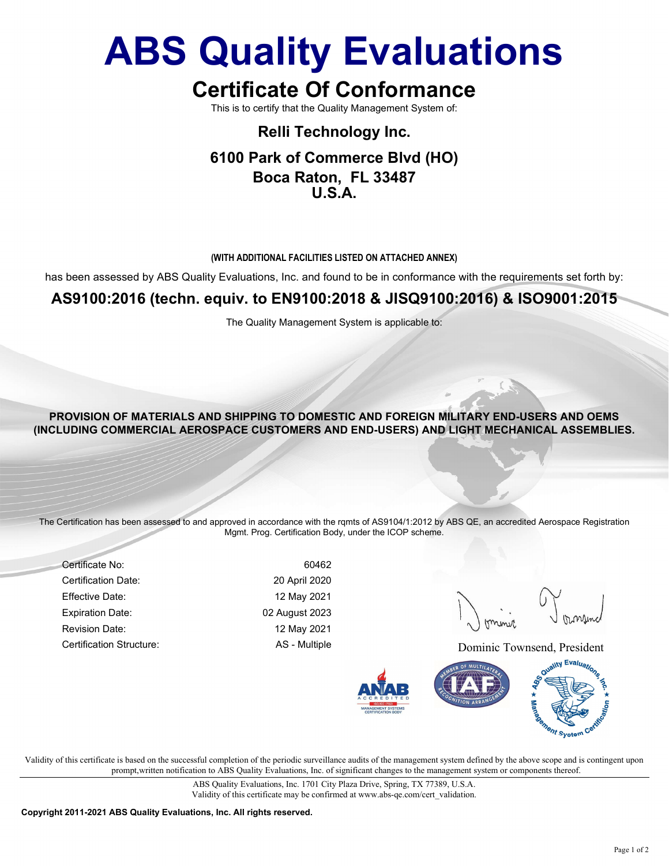# ABS Quality Evaluations

## Certificate Of Conformance

This is to certify that the Quality Management System of:

## Relli Technology Inc. 6100 Park of Commerce Blvd (HO) Boca Raton, FL 33487  $U.S.\Delta$

(WITH ADDITIONAL FACILITIES LISTED ON ATTACHED ANNEX)

has been assessed by ABS Quality Evaluations, Inc. and found to be in conformance with the requirements set forth by:

#### AS9100:2016 (techn. equiv. to EN9100:2018 & JISQ9100:2016) & ISO9001:2015

The Quality Management System is applicable to:

PROVISION OF MATERIALS AND SHIPPING TO DOMESTIC AND FOREIGN MILITARY END-USERS AND OEMS (INCLUDING COMMERCIAL AEROSPACE CUSTOMERS AND END-USERS) AND LIGHT MECHANICAL ASSEMBLIES.

The Certification has been assessed to and approved in accordance with the rqmts of AS9104/1:2012 by ABS QE, an accredited Aerospace Registration Mgmt. Prog. Certification Body, under the ICOP scheme.

Certificate No: 60462 Certification Date: 20 April 2020 Effective Date: 12 May 2021 Expiration Date: 02 August 2023 Revision Date: 12 May 2021

Certification Structure: AS - Multiple Certification Structure: Dominic Townsend, President



Validity of this certificate is based on the successful completion of the periodic surveillance audits of the management system defined by the above scope and is contingent upon prompt,written notification to ABS Quality Evaluations, Inc. of significant changes to the management system or components thereof.

> ABS Quality Evaluations, Inc. 1701 City Plaza Drive, Spring, TX 77389, U.S.A. Validity of this certificate may be confirmed at www.abs-qe.com/cert\_validation.

Copyright 2011-2021 ABS Quality Evaluations, Inc. All rights reserved.